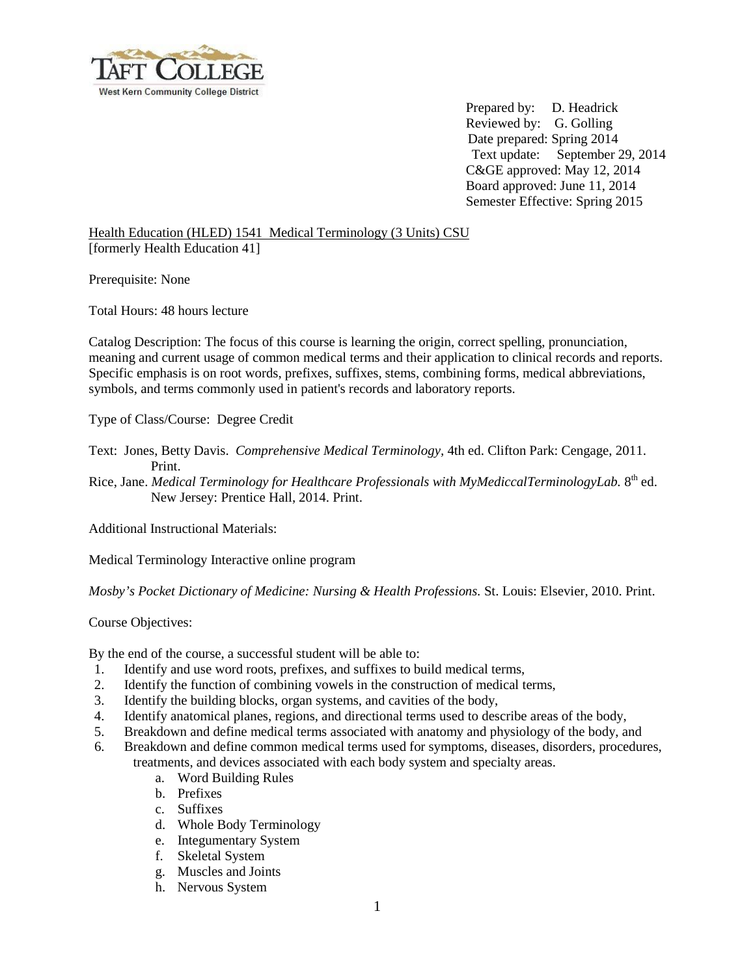

 Prepared by: D. Headrick Reviewed by: G. Golling Date prepared: Spring 2014 Text update: September 29, 2014 C&GE approved: May 12, 2014 Board approved: June 11, 2014 Semester Effective: Spring 2015

Health Education (HLED) 1541 Medical Terminology (3 Units) CSU [formerly Health Education 41]

Prerequisite: None

Total Hours: 48 hours lecture

Catalog Description: The focus of this course is learning the origin, correct spelling, pronunciation, meaning and current usage of common medical terms and their application to clinical records and reports. Specific emphasis is on root words, prefixes, suffixes, stems, combining forms, medical abbreviations, symbols, and terms commonly used in patient's records and laboratory reports.

Type of Class/Course: Degree Credit

Text: Jones, Betty Davis. *Comprehensive Medical Terminology,* 4th ed. Clifton Park: Cengage, 2011. Print.

Rice, Jane. *Medical Terminology for Healthcare Professionals with MyMediccalTerminologyLab.* 8<sup>th</sup> ed. New Jersey: Prentice Hall, 2014. Print.

Additional Instructional Materials:

Medical Terminology Interactive online program

*Mosby's Pocket Dictionary of Medicine: Nursing & Health Professions.* St. Louis: Elsevier, 2010. Print.

Course Objectives:

By the end of the course, a successful student will be able to:

- 1. Identify and use word roots, prefixes, and suffixes to build medical terms,
- 2. Identify the function of combining vowels in the construction of medical terms,
- 3. Identify the building blocks, organ systems, and cavities of the body,
- 4. Identify anatomical planes, regions, and directional terms used to describe areas of the body,
- 5. Breakdown and define medical terms associated with anatomy and physiology of the body, and
- 6. Breakdown and define common medical terms used for symptoms, diseases, disorders, procedures, treatments, and devices associated with each body system and specialty areas.
	- a. Word Building Rules
	- b. Prefixes
	- c. Suffixes
	- d. Whole Body Terminology
	- e. Integumentary System
	- f. Skeletal System
	- g. Muscles and Joints
	- h. Nervous System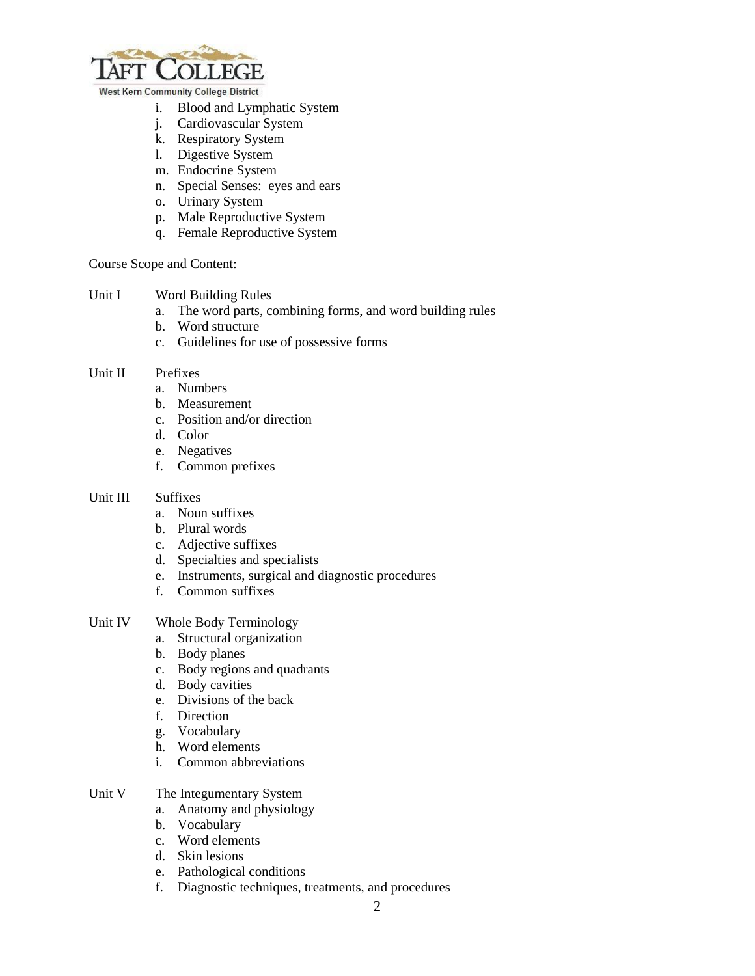

- i. Blood and Lymphatic System
- j. Cardiovascular System
- k. Respiratory System
- l. Digestive System
- m. Endocrine System
- n. Special Senses: eyes and ears
- o. Urinary System
- p. Male Reproductive System
- q. Female Reproductive System

Course Scope and Content:

- Unit I Word Building Rules
	- a. The word parts, combining forms, and word building rules
	- b. Word structure
	- c. Guidelines for use of possessive forms

#### Unit II Prefixes

- a. Numbers
- b. Measurement
- c. Position and/or direction
- d. Color
- e. Negatives
- f. Common prefixes

#### Unit III Suffixes

- a. Noun suffixes
- b. Plural words
- c. Adjective suffixes
- d. Specialties and specialists
- e. Instruments, surgical and diagnostic procedures
- f. Common suffixes

# Unit IV Whole Body Terminology

- a. Structural organization
- b. Body planes
- c. Body regions and quadrants
- d. Body cavities
- e. Divisions of the back
- f. Direction
- g. Vocabulary
- h. Word elements
- i. Common abbreviations
- Unit V The Integumentary System
	- a. Anatomy and physiology
	- b. Vocabulary
	- c. Word elements
	- d. Skin lesions
	- e. Pathological conditions
	- f. Diagnostic techniques, treatments, and procedures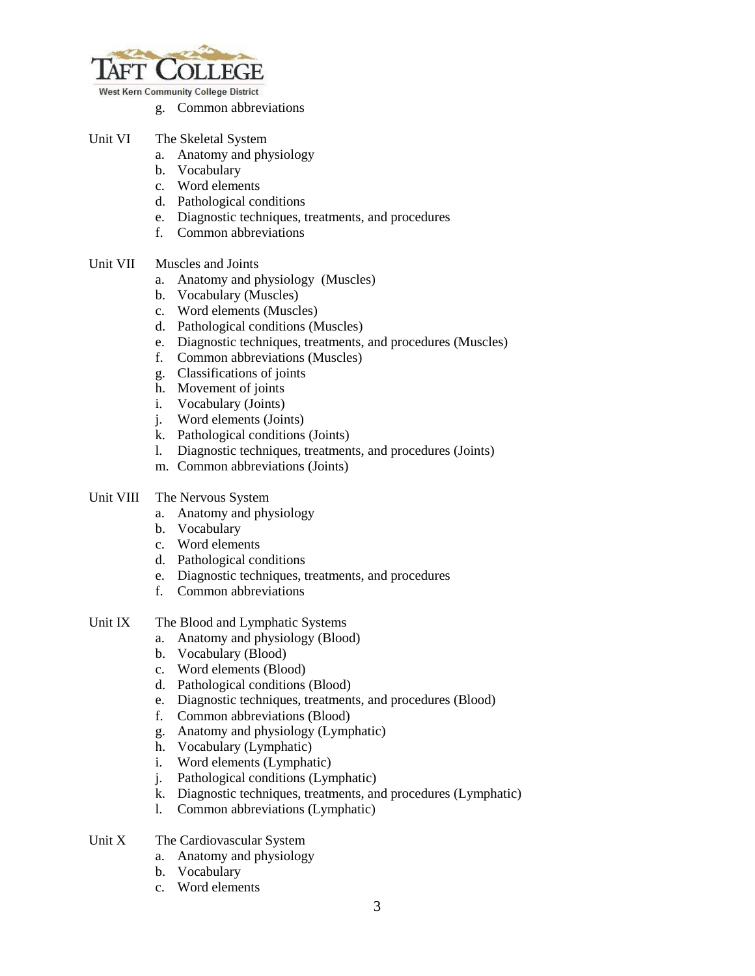

- g. Common abbreviations
- Unit VI The Skeletal System
	- a. Anatomy and physiology
	- b. Vocabulary
	- c. Word elements
	- d. Pathological conditions
	- e. Diagnostic techniques, treatments, and procedures
	- f. Common abbreviations
- Unit VII Muscles and Joints
	- a. Anatomy and physiology (Muscles)
	- b. Vocabulary (Muscles)
	- c. Word elements (Muscles)
	- d. Pathological conditions (Muscles)
	- e. Diagnostic techniques, treatments, and procedures (Muscles)
	- f. Common abbreviations (Muscles)
	- g. Classifications of joints
	- h. Movement of joints
	- i. Vocabulary (Joints)
	- j. Word elements (Joints)
	- k. Pathological conditions (Joints)
	- l. Diagnostic techniques, treatments, and procedures (Joints)
	- m. Common abbreviations (Joints)

#### Unit VIII The Nervous System

- a. Anatomy and physiology
- b. Vocabulary
- c. Word elements
- d. Pathological conditions
- e. Diagnostic techniques, treatments, and procedures
- f. Common abbreviations
- Unit IX The Blood and Lymphatic Systems
	- a. Anatomy and physiology (Blood)
	- b. Vocabulary (Blood)
	- c. Word elements (Blood)
	- d. Pathological conditions (Blood)
	- e. Diagnostic techniques, treatments, and procedures (Blood)
	- f. Common abbreviations (Blood)
	- g. Anatomy and physiology (Lymphatic)
	- h. Vocabulary (Lymphatic)
	- i. Word elements (Lymphatic)
	- j. Pathological conditions (Lymphatic)
	- k. Diagnostic techniques, treatments, and procedures (Lymphatic)
	- l. Common abbreviations (Lymphatic)
- Unit X The Cardiovascular System
	- a. Anatomy and physiology
	- b. Vocabulary
	- c. Word elements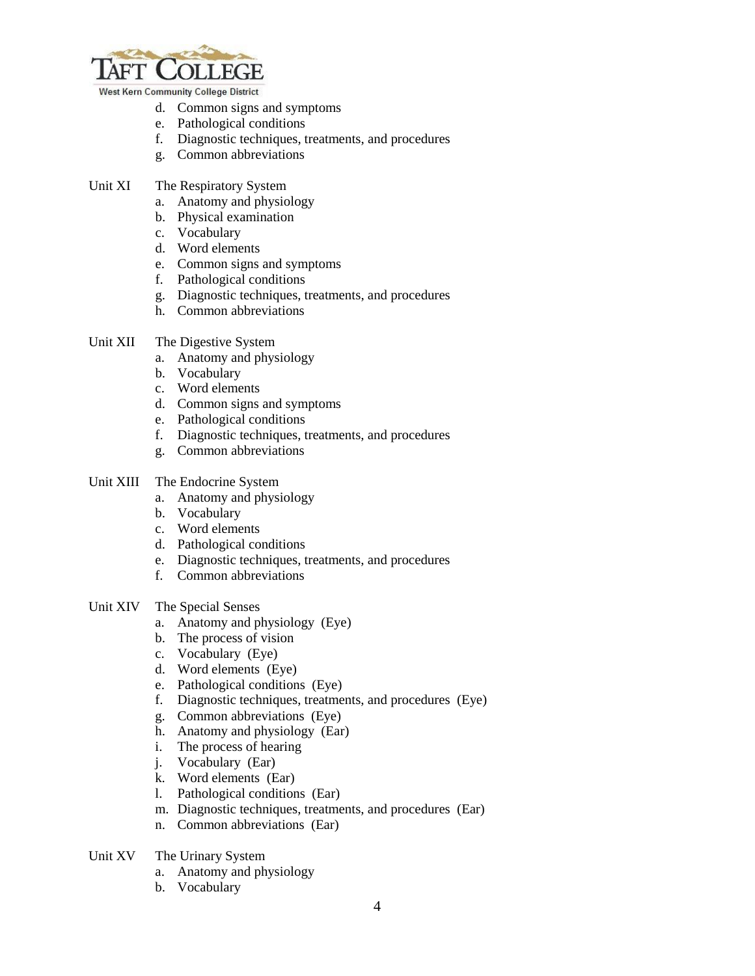

- d. Common signs and symptoms
- e. Pathological conditions
- f. Diagnostic techniques, treatments, and procedures
- g. Common abbreviations
- Unit XI The Respiratory System
	- a. Anatomy and physiology
	- b. Physical examination
	- c. Vocabulary
	- d. Word elements
	- e. Common signs and symptoms
	- f. Pathological conditions
	- g. Diagnostic techniques, treatments, and procedures
	- h. Common abbreviations
- Unit XII The Digestive System
	- a. Anatomy and physiology
	- b. Vocabulary
	- c. Word elements
	- d. Common signs and symptoms
	- e. Pathological conditions
	- f. Diagnostic techniques, treatments, and procedures
	- g. Common abbreviations

# Unit XIII The Endocrine System

- a. Anatomy and physiology
- b. Vocabulary
- c. Word elements
- d. Pathological conditions
- e. Diagnostic techniques, treatments, and procedures
- f. Common abbreviations

# Unit XIV The Special Senses

- a. Anatomy and physiology (Eye)
- b. The process of vision
- c. Vocabulary (Eye)
- d. Word elements (Eye)
- e. Pathological conditions (Eye)
- f. Diagnostic techniques, treatments, and procedures (Eye)
- g. Common abbreviations (Eye)
- h. Anatomy and physiology (Ear)
- i. The process of hearing
- j. Vocabulary (Ear)
- k. Word elements (Ear)
- l. Pathological conditions (Ear)
- m. Diagnostic techniques, treatments, and procedures (Ear)
- n. Common abbreviations (Ear)
- Unit XV The Urinary System
	- a. Anatomy and physiology
	- b. Vocabulary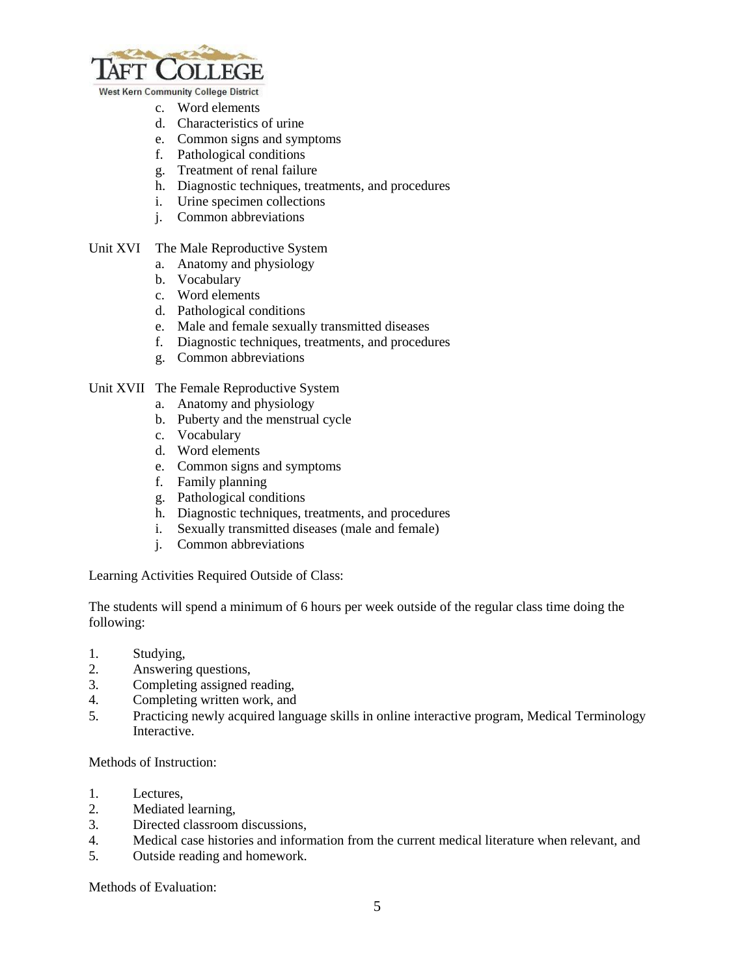

- c. Word elements
- d. Characteristics of urine
- e. Common signs and symptoms
- f. Pathological conditions
- g. Treatment of renal failure
- h. Diagnostic techniques, treatments, and procedures
- i. Urine specimen collections
- j. Common abbreviations
- Unit XVI The Male Reproductive System
	- a. Anatomy and physiology
	- b. Vocabulary
	- c. Word elements
	- d. Pathological conditions
	- e. Male and female sexually transmitted diseases
	- f. Diagnostic techniques, treatments, and procedures
	- g. Common abbreviations

## Unit XVII The Female Reproductive System

- a. Anatomy and physiology
- b. Puberty and the menstrual cycle
- c. Vocabulary
- d. Word elements
- e. Common signs and symptoms
- f. Family planning
- g. Pathological conditions
- h. Diagnostic techniques, treatments, and procedures
- i. Sexually transmitted diseases (male and female)
- j. Common abbreviations

Learning Activities Required Outside of Class:

The students will spend a minimum of 6 hours per week outside of the regular class time doing the following:

- 1. Studying,
- 2. Answering questions,
- 3. Completing assigned reading,
- 4. Completing written work, and
- 5. Practicing newly acquired language skills in online interactive program, Medical Terminology Interactive.

Methods of Instruction:

- 1. Lectures,
- 2. Mediated learning,
- 3. Directed classroom discussions,
- 4. Medical case histories and information from the current medical literature when relevant, and
- 5. Outside reading and homework.

Methods of Evaluation: